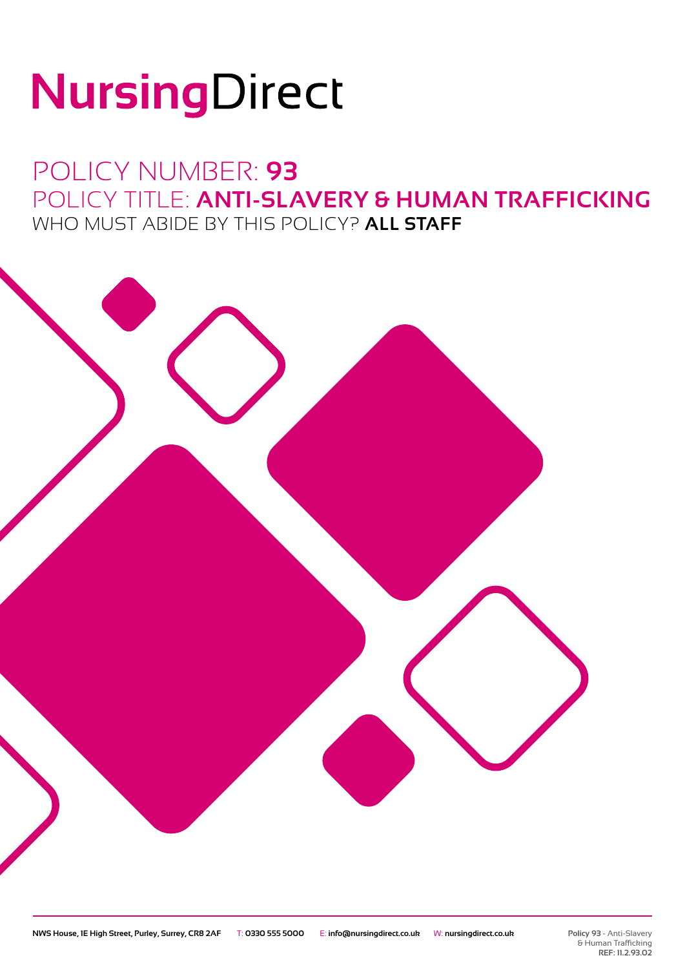# NursingDirect

POLICY NUMBER: **93** POLICY TITLE: **ANTI-SLAVERY & HUMAN TRAFFICKING** WHO MUST ABIDE BY THIS POLICY? **ALL STAFF**

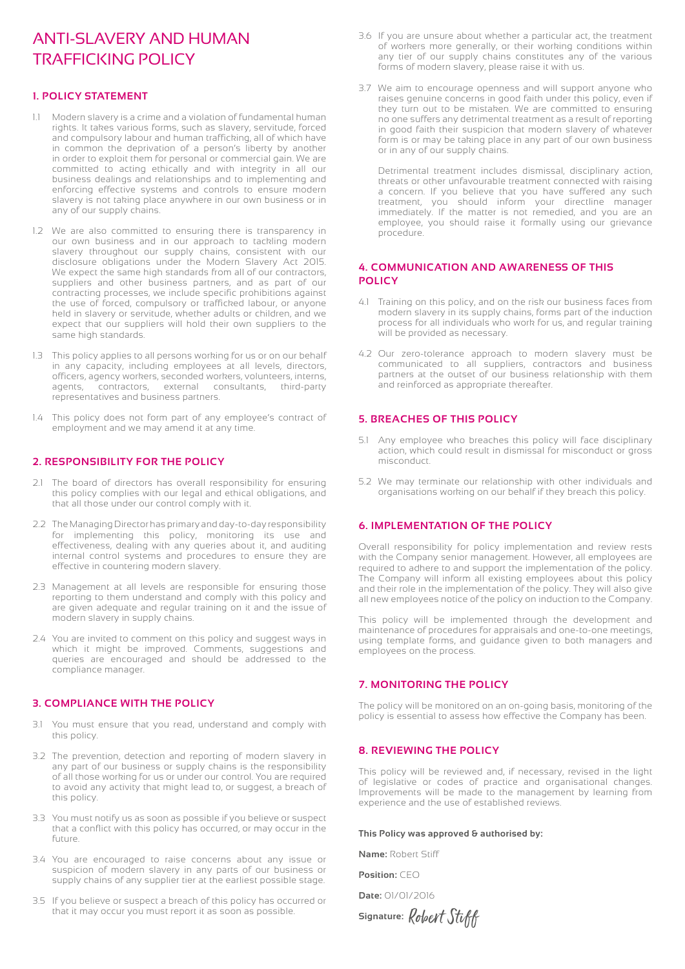### ANTI-SLAVERY AND HUMAN TRAFFICKING POLICY

#### **1. POLICY STATEMENT**

- 1.1 Modern slavery is a crime and a violation of fundamental human modem from the state of the state in the state rights. It takes various forms, such as slavery, servitude, forced and compulsory labour and human trafficking, all of which have in common the deprivation of a person's liberty by another in order to exploit them for personal or commercial gain. We are committed to acting ethically and with integrity in all our business dealings and relationships and to implementing and enforcing effective systems and controls to ensure modern slavery is not taking place anywhere in our own business or in any of our supply chains.
- 1.2 We are also committed to ensuring there is transparency in our own business and in our approach to tackling modern slavery throughout our supply chains, consistent with our disclosure obligations under the Modern Slavery Act 2015. We expect the same high standards from all of our contractors, suppliers and other business partners, and as part of our contracting processes, we include specific prohibitions against the use of forced, compulsory or trafficked labour, or anyone held in slavery or servitude, whether adults or children, and we expect that our suppliers will hold their own suppliers to the same high standards.
- 1.3 This policy applies to all persons working for us or on our behalf in any capacity, including employees at all levels, directors, officers, agency workers, seconded workers, volunteers, interns, agents, contractors, external consultants, third-party representatives and business partners.
- 1.4 This policy does not form part of any employee's contract of employment and we may amend it at any time.

#### **2. RESPONSIBILITY FOR THE POLICY**

- 2.1 The board of directors has overall responsibility for ensuring this policy complies with our legal and ethical obligations, and that all those under our control comply with it.
- 2.2 The Managing Director has primary and day-to-day responsibility for implementing this policy, monitoring its use and effectiveness, dealing with any queries about it, and auditing internal control systems and procedures to ensure they are effective in countering modern slavery.
- 2.3 Management at all levels are responsible for ensuring those reporting to them understand and comply with this policy and are given adequate and regular training on it and the issue of modern slavery in supply chains.
- 2.4 You are invited to comment on this policy and suggest ways in which it might be improved. Comments, suggestions and queries are encouraged and should be addressed to the compliance manager.

#### **3. COMPLIANCE WITH THE POLICY**

- 3.1 You must ensure that you read, understand and comply with this policy.
- 3.2 The prevention, detection and reporting of modern slavery in any part of our business or supply chains is the responsibility of all those working for us or under our control. You are required to avoid any activity that might lead to, or suggest, a breach of this policy.
- 3.3 You must notify us as soon as possible if you believe or suspect that a conflict with this policy has occurred, or may occur in the future.
- 3.4 You are encouraged to raise concerns about any issue or suspicion of modern slavery in any parts of our business or supply chains of any supplier tier at the earliest possible stage.
- 3.5 If you believe or suspect a breach of this policy has occurred or that it may occur you must report it as soon as possible.
- 3.6 If you are unsure about whether a particular act, the treatment of workers more generally, or their working conditions within any tier of our supply chains constitutes any of the various forms of modern slavery, please raise it with us.
- 3.7 We aim to encourage openness and will support anyone who raises genuine concerns in good faith under this policy, even if they turn out to be mistaken. We are committed to ensuring no one suffers any detrimental treatment as a result of reporting in good faith their suspicion that modern slavery of whatever form is or may be taking place in any part of our own business or in any of our supply chains.

 Detrimental treatment includes dismissal, disciplinary action, threats or other unfavourable treatment connected with raising a concern. If you believe that you have suffered any such treatment, you should inform your directline manager immediately. If the matter is not remedied, and you are an employee, you should raise it formally using our grievance procedure.

#### **4. COMMUNICATION AND AWARENESS OF THIS POLICY**

- 4.1 Training on this policy, and on the risk our business faces from modern slavery in its supply chains, forms part of the induction process for all individuals who work for us, and regular training will be provided as necessary.
- 4.2 Our zero-tolerance approach to modern slavery must be communicated to all suppliers, contractors and business partners at the outset of our business relationship with them and reinforced as appropriate thereafter.

#### **5. BREACHES OF THIS POLICY**

- 5.1 Any employee who breaches this policy will face disciplinary action, which could result in dismissal for misconduct or gross misconduct.
- 5.2 We may terminate our relationship with other individuals and organisations working on our behalf if they breach this policy.

#### **6. IMPLEMENTATION OF THE POLICY**

Overall responsibility for policy implementation and review rests with the Company senior management. However, all employees are required to adhere to and support the implementation of the policy. The Company will inform all existing employees about this policy and their role in the implementation of the policy. They will also give all new employees notice of the policy on induction to the Company.

This policy will be implemented through the development and maintenance of procedures for appraisals and one-to-one meetings, using template forms, and guidance given to both managers and employees on the process.

#### **7. MONITORING THE POLICY**

The policy will be monitored on an on-going basis, monitoring of the policy is essential to assess how effective the Company has been.

#### **8. REVIEWING THE POLICY**

This policy will be reviewed and, if necessary, revised in the light of legislative or codes of practice and organisational changes. Improvements will be made to the management by learning from experience and the use of established reviews.

#### **This Policy was approved & authorised by:**

**Name:** Robert Stiff

**Position:** CEO

**Date:** 01/01/2016

**Signature:** Robert Stiff